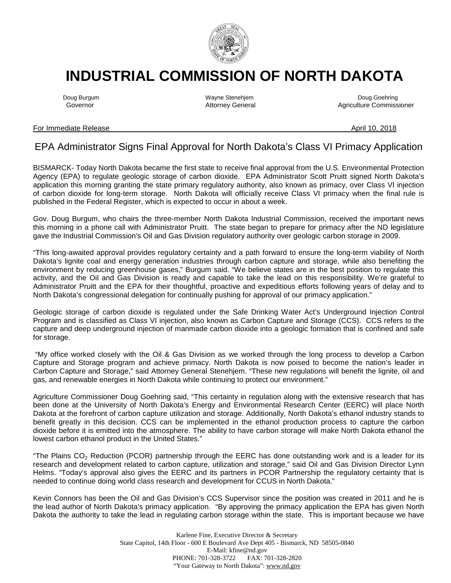

## **INDUSTRIAL COMMISSION OF NORTH DAKOTA**

Doug Burgum Wayne Stenehjem Doug Goehring Agriculture Commissioner

## For Immediate Release April 10, 2018

## EPA Administrator Signs Final Approval for North Dakota's Class VI Primacy Application

BISMARCK- Today North Dakota became the first state to receive final approval from the U.S. Environmental Protection Agency (EPA) to regulate geologic storage of carbon dioxide. EPA Administrator Scott Pruitt signed North Dakota's application this morning granting the state primary regulatory authority, also known as primacy, over Class VI injection of carbon dioxide for long-term storage. North Dakota will officially receive Class VI primacy when the final rule is published in the Federal Register, which is expected to occur in about a week.

Gov. Doug Burgum, who chairs the three-member North Dakota Industrial Commission, received the important news this morning in a phone call with Administrator Pruitt. The state began to prepare for primacy after the ND legislature gave the Industrial Commission's Oil and Gas Division regulatory authority over geologic carbon storage in 2009.

"This long-awaited approval provides regulatory certainty and a path forward to ensure the long-term viability of North Dakota's lignite coal and energy generation industries through carbon capture and storage, while also benefiting the environment by reducing greenhouse gases," Burgum said. "We believe states are in the best position to regulate this activity, and the Oil and Gas Division is ready and capable to take the lead on this responsibility. We're grateful to Administrator Pruitt and the EPA for their thoughtful, proactive and expeditious efforts following years of delay and to North Dakota's congressional delegation for continually pushing for approval of our primacy application."

Geologic storage of carbon dioxide is regulated under the Safe Drinking Water Act's Underground Injection Control Program and is classified as Class VI injection, also known as Carbon Capture and Storage (CCS). CCS refers to the capture and deep underground injection of manmade carbon dioxide into a geologic formation that is confined and safe for storage.

"My office worked closely with the Oil & Gas Division as we worked through the long process to develop a Carbon Capture and Storage program and achieve primacy. North Dakota is now poised to become the nation's leader in Carbon Capture and Storage," said Attorney General Stenehjem. "These new regulations will benefit the lignite, oil and gas, and renewable energies in North Dakota while continuing to protect our environment."

Agriculture Commissioner Doug Goehring said, "This certainty in regulation along with the extensive research that has been done at the University of North Dakota's Energy and Environmental Research Center (EERC) will place North Dakota at the forefront of carbon capture utilization and storage. Additionally, North Dakota's ethanol industry stands to benefit greatly in this decision. CCS can be implemented in the ethanol production process to capture the carbon dioxide before it is emitted into the atmosphere. The ability to have carbon storage will make North Dakota ethanol the lowest carbon ethanol product in the United States."

"The Plains CO<sub>2</sub> Reduction (PCOR) partnership through the EERC has done outstanding work and is a leader for its research and development related to carbon capture, utilization and storage," said Oil and Gas Division Director Lynn Helms. "Today's approval also gives the EERC and its partners in PCOR Partnership the regulatory certainty that is needed to continue doing world class research and development for CCUS in North Dakota."

Kevin Connors has been the Oil and Gas Division's CCS Supervisor since the position was created in 2011 and he is the lead author of North Dakota's primacy application. "By approving the primacy application the EPA has given North Dakota the authority to take the lead in regulating carbon storage within the state. This is important because we have

> Karlene Fine, Executive Director & Secretary State Capitol, 14th Floor - 600 E Boulevard Ave Dept 405 - Bismarck, ND 58505-0840 E-Mail: kfine@nd.gov<br>1-328-3722 FAX: 701-328-2820 PHONE: 701-328-3722 "Your Gateway to North Dakota": www.nd.gov